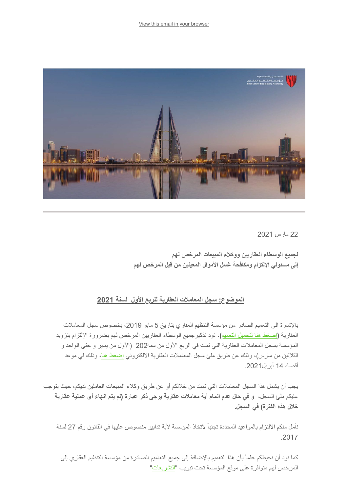[View this email in your browser](file:///C:/Users/rithinvr/Desktop/*%7CARCHIVE%7C*)



22 مارس 2021

**لجمیع الوسطاء العقاریین ووكلاء المبیعات المرخص لھم إلى مسئولي الإلتزام ومكافحة غسل الأموال المعینین من قبل المرخص لھم**

## **الموضوع: سجل المعاملات العقاریة للربع الأول لسنة 2021**

بالإشارة الى التعمیم الصادر من مؤسسة التنظیم العقاري بتاریخ 5 مایو ،2019 بخصوص سجل المعاملات العقاریة **(**[إضغط ھنا لتحمیل التعمیم](https://rera.us18.list-manage.com/track/click?u=19ee4dd5d83746dcf3a98ff0f&id=8bdee9b596&e=78cd86f57b)**)،** نود تذكیرجمیع الوسطاء العقاریین المرخص لھم بضرورة الإلتزام بتزوید المؤسسة بسجل المعاملات العقاریة التي تمت في الربع الأول من سنة202 (الأول من ینایر و حتى الواحد و الثلاثین من مارس)، وذلك عن طریق ملئ سجل المعاملات العقاریة الالكتروني [إضغط ھنا](https://rera.us18.list-manage.com/track/click?u=19ee4dd5d83746dcf3a98ff0f&id=370e3a6607&e=78cd86f57b)، وذلك في موعد أقصاه 14 أبریل.2021

یجب أن یشمل ھذا السجل المعاملات التي تمت من خلالكم أو عن طریق وكلاء المبیعات العاملین لدیكم، حیث یتوجب علیكم ملئ السجل**، و في حال عدم اتمام أیة معاملات عقاریة یرجى ذكر عبارة (لم یتم انھاء أي عملیة عقاریة خلال ھذه الفترة) في السجل.**

نأمل منكم الالتزام بالمواعید المحددة تجنباً لاتخاذ المؤسسة لأیة تدابیر منصوص علیھا في القانون رقم 27 لسنة .2017

كما نود أن نحیطكم علماً بأن ھذا التعمیم بالإضافة إلى جمیع التعامیم الصادرة من مؤسسة التنظیم العقاري إلى المرخص لهم متوافرة على موقع المؤسسة تحت تبويب "<mark>التشريعات</mark>"